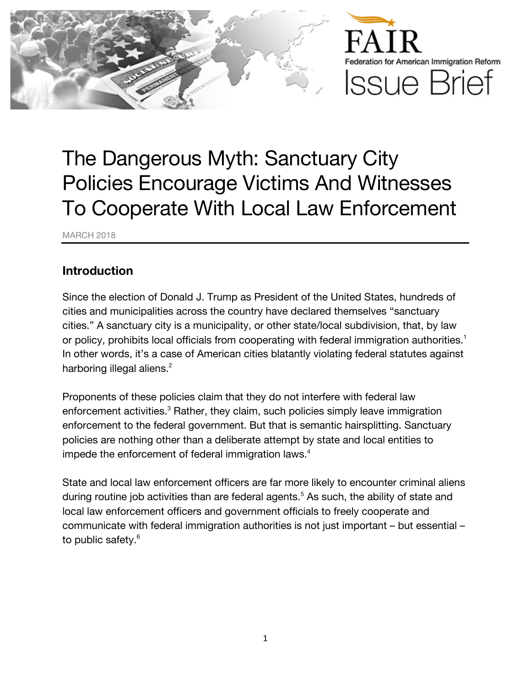

# The Dangerous Myth: Sanctuary City Policies Encourage Victims And Witnesses To Cooperate With Local Law Enforcement

MARCH 2018

#### **Introduction**

Since the election of Donald J. Trump as President of the United States, hundreds of cities and municipalities across the country have declared themselves "sanctuary cities." A sanctuary city is a municipality, or other state/local subdivision, that, by law or policy, prohibits local officials from cooperating with federal immigration authorities.<sup>1</sup> In other words, it's a case of American cities blatantly violating federal statutes against harboring illegal aliens.<sup>2</sup>

Proponents of these policies claim that they do not interfere with federal law enforcement activities.<sup>3</sup> Rather, they claim, such policies simply leave immigration enforcement to the federal government. But that is semantic hairsplitting. Sanctuary policies are nothing other than a deliberate attempt by state and local entities to impede the enforcement of federal immigration laws.<sup>4</sup>

State and local law enforcement officers are far more likely to encounter criminal aliens during routine job activities than are federal agents.<sup>5</sup> As such, the ability of state and local law enforcement officers and government officials to freely cooperate and communicate with federal immigration authorities is not just important – but essential – to public safety.<sup>6</sup>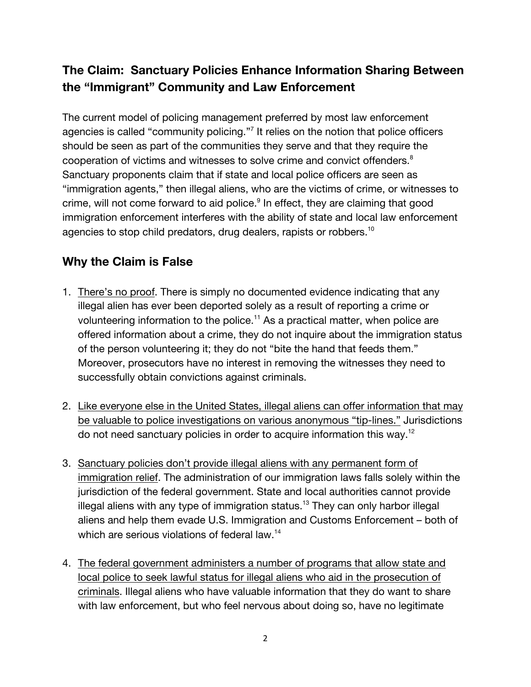## **The Claim: Sanctuary Policies Enhance Information Sharing Between the "Immigrant" Community and Law Enforcement**

The current model of policing management preferred by most law enforcement agencies is called "community policing."<sup>7</sup> It relies on the notion that police officers should be seen as part of the communities they serve and that they require the cooperation of victims and witnesses to solve crime and convict offenders.<sup>8</sup> Sanctuary proponents claim that if state and local police officers are seen as "immigration agents," then illegal aliens, who are the victims of crime, or witnesses to crime, will not come forward to aid police.<sup>9</sup> In effect, they are claiming that good immigration enforcement interferes with the ability of state and local law enforcement agencies to stop child predators, drug dealers, rapists or robbers. $^{\rm 10}$ 

#### **Why the Claim is False**

- 1. There's no proof. There is simply no documented evidence indicating that any illegal alien has ever been deported solely as a result of reporting a crime or volunteering information to the police.<sup>11</sup> As a practical matter, when police are offered information about a crime, they do not inquire about the immigration status of the person volunteering it; they do not "bite the hand that feeds them." Moreover, prosecutors have no interest in removing the witnesses they need to successfully obtain convictions against criminals.
- 2. Like everyone else in the United States, illegal aliens can offer information that may be valuable to police investigations on various anonymous "tip-lines." Jurisdictions do not need sanctuary policies in order to acquire information this way.<sup>12</sup>
- 3. Sanctuary policies don't provide illegal aliens with any permanent form of immigration relief. The administration of our immigration laws falls solely within the jurisdiction of the federal government. State and local authorities cannot provide illegal aliens with any type of immigration status.<sup>13</sup> They can only harbor illegal aliens and help them evade U.S. Immigration and Customs Enforcement – both of which are serious violations of federal law.<sup>14</sup>
- 4. The federal government administers a number of programs that allow state and local police to seek lawful status for illegal aliens who aid in the prosecution of criminals. Illegal aliens who have valuable information that they do want to share with law enforcement, but who feel nervous about doing so, have no legitimate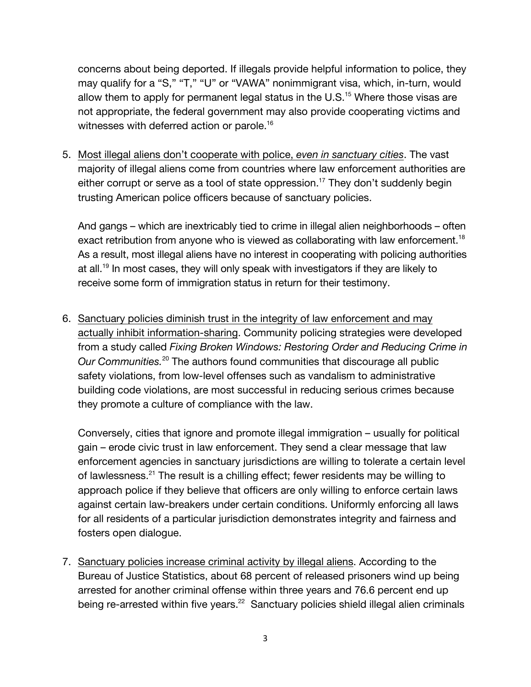concerns about being deported. If illegals provide helpful information to police, they may qualify for a "S," "T," "U" or "VAWA" nonimmigrant visa, which, in-turn, would allow them to apply for permanent legal status in the  $U.S.^{15}$  Where those visas are not appropriate, the federal government may also provide cooperating victims and witnesses with deferred action or parole.<sup>16</sup>

5. Most illegal aliens don't cooperate with police, *even in sanctuary cities*. The vast majority of illegal aliens come from countries where law enforcement authorities are either corrupt or serve as a tool of state oppression.<sup>17</sup> They don't suddenly begin trusting American police officers because of sanctuary policies.

And gangs – which are inextricably tied to crime in illegal alien neighborhoods – often exact retribution from anyone who is viewed as collaborating with law enforcement.<sup>18</sup> As a result, most illegal aliens have no interest in cooperating with policing authorities at all.<sup>19</sup> In most cases, they will only speak with investigators if they are likely to receive some form of immigration status in return for their testimony.

6. Sanctuary policies diminish trust in the integrity of law enforcement and may actually inhibit information-sharing. Community policing strategies were developed from a study called *Fixing Broken Windows: Restoring Order and Reducing Crime in*  Our Communities.<sup>20</sup> The authors found communities that discourage all public safety violations, from low-level offenses such as vandalism to administrative building code violations, are most successful in reducing serious crimes because they promote a culture of compliance with the law.

Conversely, cities that ignore and promote illegal immigration – usually for political gain – erode civic trust in law enforcement. They send a clear message that law enforcement agencies in sanctuary jurisdictions are willing to tolerate a certain level of lawlessness.<sup>21</sup> The result is a chilling effect; fewer residents may be willing to approach police if they believe that officers are only willing to enforce certain laws against certain law-breakers under certain conditions. Uniformly enforcing all laws for all residents of a particular jurisdiction demonstrates integrity and fairness and fosters open dialogue.

7. Sanctuary policies increase criminal activity by illegal aliens. According to the Bureau of Justice Statistics, about 68 percent of released prisoners wind up being arrested for another criminal offense within three years and 76.6 percent end up being re-arrested within five years.<sup>22</sup> Sanctuary policies shield illegal alien criminals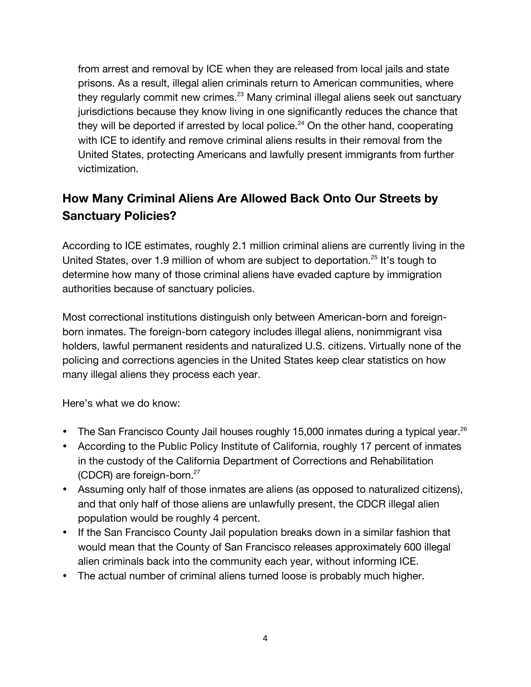from arrest and removal by ICE when they are released from local jails and state prisons. As a result, illegal alien criminals return to American communities, where they regularly commit new crimes.<sup>23</sup> Many criminal illegal aliens seek out sanctuary jurisdictions because they know living in one significantly reduces the chance that they will be deported if arrested by local police.<sup>24</sup> On the other hand, cooperating with ICE to identify and remove criminal aliens results in their removal from the United States, protecting Americans and lawfully present immigrants from further victimization.

## **How Many Criminal Aliens Are Allowed Back Onto Our Streets by Sanctuary Policies?**

According to ICE estimates, roughly 2.1 million criminal aliens are currently living in the United States, over 1.9 million of whom are subject to deportation.<sup>25</sup> It's tough to determine how many of those criminal aliens have evaded capture by immigration authorities because of sanctuary policies.

Most correctional institutions distinguish only between American-born and foreignborn inmates. The foreign-born category includes illegal aliens, nonimmigrant visa holders, lawful permanent residents and naturalized U.S. citizens. Virtually none of the policing and corrections agencies in the United States keep clear statistics on how many illegal aliens they process each year.

Here's what we do know:

- The San Francisco County Jail houses roughly 15,000 inmates during a typical year.<sup>26</sup>
- According to the Public Policy Institute of California, roughly 17 percent of inmates in the custody of the California Department of Corrections and Rehabilitation (CDCR) are foreign-born. $27$
- Assuming only half of those inmates are aliens (as opposed to naturalized citizens), and that only half of those aliens are unlawfully present, the CDCR illegal alien population would be roughly 4 percent.
- If the San Francisco County Jail population breaks down in a similar fashion that would mean that the County of San Francisco releases approximately 600 illegal alien criminals back into the community each year, without informing ICE.
- The actual number of criminal aliens turned loose is probably much higher.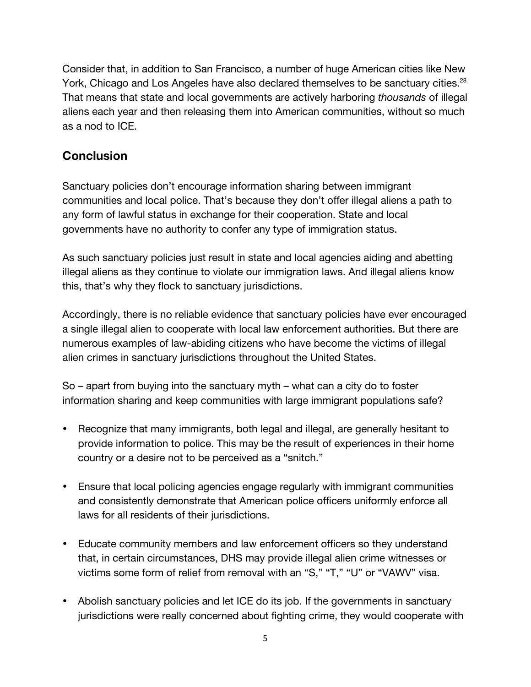Consider that, in addition to San Francisco, a number of huge American cities like New York, Chicago and Los Angeles have also declared themselves to be sanctuary cities.<sup>28</sup> That means that state and local governments are actively harboring *thousands* of illegal aliens each year and then releasing them into American communities, without so much as a nod to ICE.

#### **Conclusion**

Sanctuary policies don't encourage information sharing between immigrant communities and local police. That's because they don't offer illegal aliens a path to any form of lawful status in exchange for their cooperation. State and local governments have no authority to confer any type of immigration status.

As such sanctuary policies just result in state and local agencies aiding and abetting illegal aliens as they continue to violate our immigration laws. And illegal aliens know this, that's why they flock to sanctuary jurisdictions.

Accordingly, there is no reliable evidence that sanctuary policies have ever encouraged a single illegal alien to cooperate with local law enforcement authorities. But there are numerous examples of law-abiding citizens who have become the victims of illegal alien crimes in sanctuary jurisdictions throughout the United States.

So – apart from buying into the sanctuary myth – what can a city do to foster information sharing and keep communities with large immigrant populations safe?

- Recognize that many immigrants, both legal and illegal, are generally hesitant to provide information to police. This may be the result of experiences in their home country or a desire not to be perceived as a "snitch."
- Ensure that local policing agencies engage regularly with immigrant communities and consistently demonstrate that American police officers uniformly enforce all laws for all residents of their jurisdictions.
- Educate community members and law enforcement officers so they understand that, in certain circumstances, DHS may provide illegal alien crime witnesses or victims some form of relief from removal with an "S," "T," "U" or "VAWV" visa.
- Abolish sanctuary policies and let ICE do its job. If the governments in sanctuary jurisdictions were really concerned about fighting crime, they would cooperate with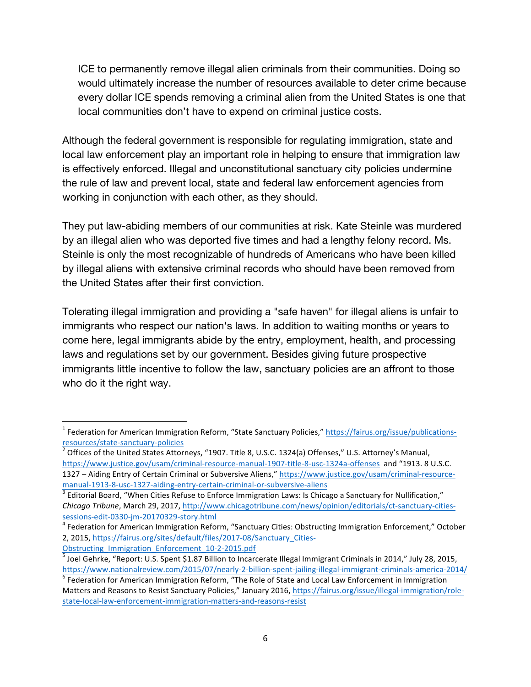ICE to permanently remove illegal alien criminals from their communities. Doing so would ultimately increase the number of resources available to deter crime because every dollar ICE spends removing a criminal alien from the United States is one that local communities don't have to expend on criminal justice costs.

Although the federal government is responsible for regulating immigration, state and local law enforcement play an important role in helping to ensure that immigration law is effectively enforced. Illegal and unconstitutional sanctuary city policies undermine the rule of law and prevent local, state and federal law enforcement agencies from working in conjunction with each other, as they should.

They put law-abiding members of our communities at risk. Kate Steinle was murdered by an illegal alien who was deported five times and had a lengthy felony record. Ms. Steinle is only the most recognizable of hundreds of Americans who have been killed by illegal aliens with extensive criminal records who should have been removed from the United States after their first conviction.

Tolerating illegal immigration and providing a "safe haven" for illegal aliens is unfair to immigrants who respect our nation's laws. In addition to waiting months or years to come here, legal immigrants abide by the entry, employment, health, and processing laws and regulations set by our government. Besides giving future prospective immigrants little incentive to follow the law, sanctuary policies are an affront to those who do it the right way.

<u> 1989 - Johann Stein, fransk politik (d. 1989)</u>

<sup>&</sup>lt;sup>1</sup> Federation for American Immigration Reform, "State Sanctuary Policies," https://fairus.org/issue/publicationsresources/state-sanctuary-policies<br> $\frac{1}{2}$  Offices of the United States Attorneys, "1907. Title 8, U.S.C. 1324(a) Offenses," U.S. Attorney's Manual,

https://www.justice.gov/usam/criminal-resource-manual-1907-title-8-usc-1324a-offenses and "1913. 8 U.S.C. 1327 - Aiding Entry of Certain Criminal or Subversive Aliens," https://www.justice.gov/usam/criminal-resource-

manual-1913-8-usc-1327-aiding-entry-certain-criminal-or-subversive-aliens<br><sup>3</sup> Editorial Board, "When Cities Refuse to Enforce Immigration Laws: Is Chicago a Sanctuary for Nullification," *Chicago Tribune*, March 29, 2017, http://www.chicagotribune.com/news/opinion/editorials/ct-sanctuary-citiessessions-edit-0330-jm-20170329-story.html<br><sup>4</sup> Federation for American Immigration Reform, "Sanctuary Cities: Obstructing Immigration Enforcement," October

<sup>2, 2015,</sup> https://fairus.org/sites/default/files/2017-08/Sanctuary Cities-

Obstructing\_Immigration\_Enforcement\_10-2-2015.pdf<br> $\frac{5}$  Joel Gehrke, "Report: U.S. Spent \$1.87 Billion to Incarcerate Illegal Immigrant Criminals in 2014," July 28, 2015, https://www.nationalreview.com/2015/07/nearly-2-billion-spent-jailing-illegal-immigrant-criminals-america-2014/<br><sup>6</sup> Federation for American Immigration Reform, "The Role of State and Local Law Enforcement in Immigration

Matters and Reasons to Resist Sanctuary Policies," January 2016, https://fairus.org/issue/illegal-immigration/rolestate-local-law-enforcement-immigration-matters-and-reasons-resist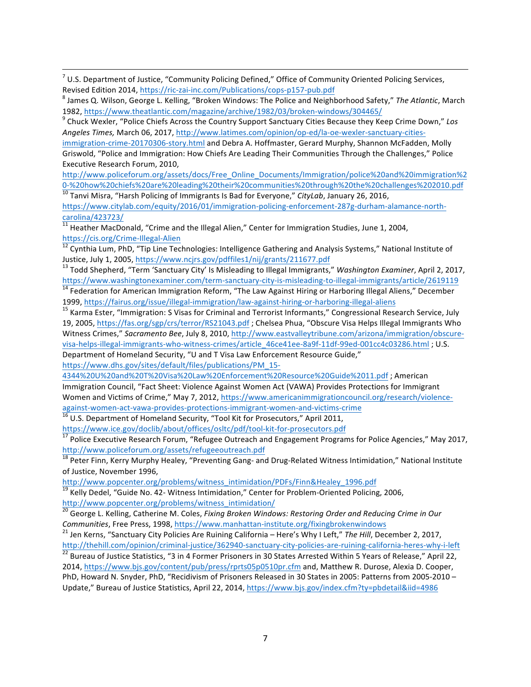$^7$  U.S. Department of Justice, "Community Policing Defined," Office of Community Oriented Policing Services, Revised Edition 2014, https://ric-zai-inc.com/Publications/cops-p157-pub.pdf<br><sup>8</sup> James Q. Wilson, George L. Kelling, "Broken Windows: The Police and Neighborhood Safety," The Atlantic, March

<u> 1989 - Johann Stoff, fransk politik (f. 1989)</u>

Angeles Times, March 06, 2017, http://www.latimes.com/opinion/op-ed/la-oe-wexler-sanctuary-cities-

immigration-crime-20170306-story.html and Debra A. Hoffmaster, Gerard Murphy, Shannon McFadden, Molly Griswold, "Police and Immigration: How Chiefs Are Leading Their Communities Through the Challenges," Police Executive Research Forum, 2010,

http://www.policeforum.org/assets/docs/Free\_Online\_Documents/Immigration/police%20and%20immigration%2 0-%20how%20chiefs%20are%20leading%20their%20communities%20through%20the%20challenges%202010.pdf <sup>10</sup> Tanvi Misra, "Harsh Policing of Immigrants Is Bad for Everyone," *CityLab*, January 26, 2016,

https://www.citylab.com/equity/2016/01/immigration-policing-enforcement-287g-durham-alamance-north- $\frac{\text{carolina}/423723}{11}$  Heather MacDonald, "Crime and the Illegal Alien," Center for Immigration Studies, June 1, 2004,

https://cis.org/Crime-Illegal-Alien<br><sup>12</sup> Cynthia Lum, PhD, "Tip Line Technologies: Intelligence Gathering and Analysis Systems," National Institute of

Justice, July 1, 2005, https://www.ncjrs.gov/pdffiles1/nij/grants/211677.pdf<br><sup>13</sup> Todd Shepherd, "Term 'Sanctuary City' Is Misleading to Illegal Immigrants," *Washington Examiner*, April 2, 2017,

https://www.washingtonexaminer.com/term-sanctuary-city-is-misleading-to-illegal-immigrants/article/2619119 <sup>14</sup> Federation for American Immigration Reform, "The Law Against Hiring or Harboring Illegal Aliens," December

1999, https://fairus.org/issue/illegal-immigration/law-against-hiring-or-harboring-illegal-aliens<br><sup>15</sup> Karma Ester, "Immigration: S Visas for Criminal and Terrorist Informants," Congressional Research Service, July

19, 2005, https://fas.org/sgp/crs/terror/RS21043.pdf ; Chelsea Phua, "Obscure Visa Helps Illegal Immigrants Who Witness Crimes," Sacramento Bee, July 8, 2010, http://www.eastvalleytribune.com/arizona/immigration/obscurevisa-helps-illegal-immigrants-who-witness-crimes/article\_46ce41ee-8a9f-11df-99ed-001cc4c03286.html : U.S. Department of Homeland Security, "U and T Visa Law Enforcement Resource Guide,"

https://www.dhs.gov/sites/default/files/publications/PM\_15-

4344%20U%20and%20T%20Visa%20Law%20Enforcement%20Resource%20Guide%2011.pdf; American Immigration Council, "Fact Sheet: Violence Against Women Act (VAWA) Provides Protections for Immigrant Women and Victims of Crime," May 7, 2012, https://www.americanimmigrationcouncil.org/research/violenceagainst-women-act-vawa-provides-protections-immigrant-women-and-victims-crime <sup>16</sup> U.S. Department of Homeland Security, "Tool Kit for Prosecutors," April 2011,

https://www.ice.gov/doclib/about/offices/osltc/pdf/tool-kit-for-prosecutors.pdf<br><sup>17</sup> Police Executive Research Forum, "Refugee Outreach and Engagement Programs for Police Agencies," May 2017, http://www.policeforum.org/assets/refugeeoutreach.pdf

<sup>18</sup> Peter Finn, Kerry Murphy Healey, "Preventing Gang- and Drug-Related Witness Intimidation," National Institute of Justice, November 1996,

http://www.popcenter.org/problems/witness\_intimidation/PDFs/Finn&Healey\_1996.pdf

 $\frac{19}{19}$  Kelly Dedel, "Guide No. 42- Witness Intimidation," Center for Problem-Oriented Policing, 2006, http://www.popcenter.org/problems/witness\_intimidation/

<sup>20</sup> George L. Kelling, Catherine M. Coles, *Fixing Broken Windows: Restoring Order and Reducing Crime in Our Communities*, Free Press, 1998, https://www.manhattan-institute.org/fixingbrokenwindows<br><sup>21</sup> Jen Kerns, "Sanctuary City Policies Are Ruining California – Here's Why I Left," *The Hill*, December 2, 2017,

http://thehill.com/opinion/criminal-justice/362940-sanctuary-city-policies-are-ruining-california-heres-why-i-left<br><sup>22</sup> Bureau of Justice Statistics, "3 in 4 Former Prisoners in 30 States Arrested Within 5 Years of Releas 2014, https://www.bjs.gov/content/pub/press/rprts05p0510pr.cfm and, Matthew R. Durose, Alexia D. Cooper, PhD, Howard N. Snyder, PhD, "Recidivism of Prisoners Released in 30 States in 2005: Patterns from 2005-2010 -Update," Bureau of Justice Statistics, April 22, 2014, https://www.bjs.gov/index.cfm?ty=pbdetail&iid=4986

<sup>1982,</sup> https://www.theatlantic.com/magazine/archive/1982/03/broken-windows/304465/<br><sup>9</sup> Chuck Wexler, "Police Chiefs Across the Country Support Sanctuary Cities Because they Keep Crime Down," *Los*